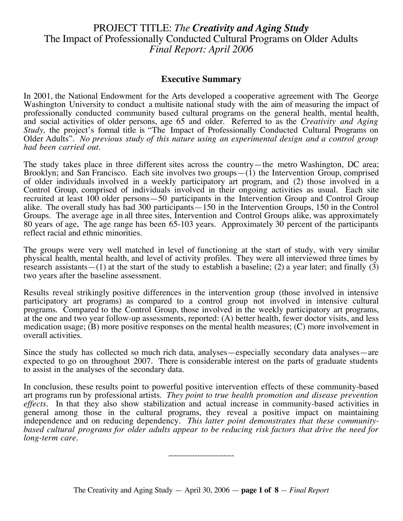# PROJECT TITLE: *The Creativity and Aging Study* The Impact of Professionally Conducted Cultural Programs on Older Adults *Final Report: April 2006*

### **Executive Summary**

In 2001, the National Endowment for the Arts developed a cooperative agreement with The George Washington University to conduct a multisite national study with the aim of measuring the impact of professionally conducted community based cultural programs on the general health, mental health, and social activities of older persons, age 65 and older. Referred to as the *Creativity and Aging Study*, the project's formal title is "The Impact of Professionally Conducted Cultural Programs on Older Adults". *No previous study of this nature using an experimental design and a control group had been carried out.*

The study takes place in three different sites across the country—the metro Washington, DC area; Brooklyn; and San Francisco. Each site involves two groups $-(1)$  the Intervention Group, comprised of older individuals involved in a weekly participatory art program, and (2) those involved in a Control Group, comprised of individuals involved in their ongoing activities as usual. Each site recruited at least 100 older persons—50 participants in the Intervention Group and Control Group alike. The overall study has had 300 participants—150 in the Intervention Groups, 150 in the Control Groups. The average age in all three sites, Intervention and Control Groups alike, was approximately 80 years of age, The age range has been 65-103 years. Approximately 30 percent of the participants reflect racial and ethnic minorities.

The groups were very well matched in level of functioning at the start of study, with very similar physical health, mental health, and level of activity profiles. They were all interviewed three times by research assistants—(1) at the start of the study to establish a baseline; (2) a year later; and finally (3) two years after the baseline assessment.

Results reveal strikingly positive differences in the intervention group (those involved in intensive participatory art programs) as compared to a control group not involved in intensive cultural programs. Compared to the Control Group, those involved in the weekly participatory art programs, at the one and two year follow-up assessments, reported: (A) better health, fewer doctor visits, and less medication usage; (B) more positive responses on the mental health measures; (C) more involvement in overall activities.

Since the study has collected so much rich data, analyses—especially secondary data analyses—are expected to go on throughout 2007. There is considerable interest on the parts of graduate students to assist in the analyses of the secondary data.

In conclusion, these results point to powerful positive intervention effects of these community-based art programs run by professional artists. *They point to true health promotion and disease prevention effects.* In that they also show stabilization and actual increase in community-based activities in general among those in the cultural programs, they reveal a positive impact on maintaining independence and on reducing dependency. *This latter point demonstrates that these communitybased cultural programs for older adults appear to be reducing risk factors that drive the need for long-term care. long-term care.* -------------------------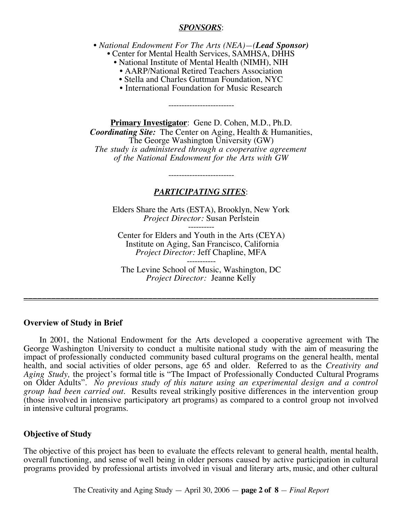### *SPONSORS*:

- *National Endowment For The Arts (NEA)—(Lead Sponsor)* • Center for Mental Health Services, SAMHSA, DHHS
	- National Institute of Mental Health (NIMH), NIH
		- AARP/National Retired Teachers Association
		- Stella and Charles Guttman Foundation, NYC
		- International Foundation for Music Research

-------------------------

**Primary Investigator**: Gene D. Cohen, M.D., Ph.D. *Coordinating Site:* The Center on Aging, Health & Humanities, The George Washington University (GW) *The study is administered through a cooperative agreement of the National Endowment for the Arts with GW*

# *PARTICIPATING SITES*:

-------------------------

Elders Share the Arts (ESTA), Brooklyn, New York *Project Director:* Susan Perlstein

---------- Center for Elders and Youth in the Arts (CEYA) Institute on Aging, San Francisco, California *Project Director:* Jeff Chapline, MFA

----------- The Levine School of Music, Washington, DC *Project Director:* Jeanne Kelly

\_\_\_\_\_\_\_\_\_\_\_\_\_\_\_\_\_\_\_\_\_\_\_\_\_\_\_\_\_\_\_\_\_\_\_\_\_\_\_\_\_\_\_\_\_\_\_\_\_\_\_\_\_\_\_\_\_\_\_\_\_\_\_\_\_\_\_\_\_\_\_\_\_\_\_\_\_

### **Overview of Study in Brief**

In 2001, the National Endowment for the Arts developed a cooperative agreement with The George Washington University to conduct a multisite national study with the aim of measuring the impact of professionally conducted community based cultural programs on the general health, mental health, and social activities of older persons, age 65 and older. Referred to as the *Creativity and Aging Study,* the project's formal title is "The Impact of Professionally Conducted Cultural Programs on Older Adults". *No previous study of this nature using an experimental design and a control group had been carried out.* Results reveal strikingly positive differences in the intervention group (those involved in intensive participatory art programs) as compared to a control group not involved in intensive cultural programs.

### **Objective of Study**

The objective of this project has been to evaluate the effects relevant to general health, mental health, overall functioning, and sense of well being in older persons caused by active participation in cultural programs provided by professional artists involved in visual and literary arts, music, and other cultural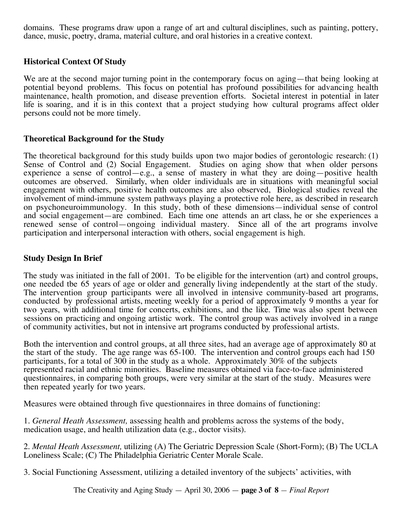domains. These programs draw upon a range of art and cultural disciplines, such as painting, pottery, dance, music, poetry, drama, material culture, and oral histories in a creative context.

# **Historical Context Of Study**

We are at the second major turning point in the contemporary focus on aging—that being looking at potential beyond problems. This focus on potential has profound possibilities for advancing health maintenance, health promotion, and disease prevention efforts. Societal interest in potential in later life is soaring, and it is in this context that a project studying how cultural programs affect older persons could not be more timely.

### **Theoretical Background for the Study**

The theoretical background for this study builds upon two major bodies of gerontologic research: (1) Sense of Control and (2) Social Engagement. Studies on aging show that when older persons experience a sense of control—e.g., a sense of mastery in what they are doing—positive health outcomes are observed. Similarly, when older individuals are in situations with meaningful social engagement with others, positive health outcomes are also observed, Biological studies reveal the involvement of mind-immune system pathways playing a protective role here, as described in research on psychoneuroimmunology. In this study, both of these dimensions—individual sense of control and social engagement—are combined. Each time one attends an art class, he or she experiences a renewed sense of control—ongoing individual mastery. Since all of the art programs involve participation and interpersonal interaction with others, social engagement is high.

### **Study Design In Brief**

The study was initiated in the fall of 2001. To be eligible for the intervention (art) and control groups, one needed tbe 65 years of age or older and generally living independently at the start of the study. The intervention group participants were all involved in intensive community-based art programs, conducted by professional artists, meeting weekly for a period of approximately 9 months a year for two years, with additional time for concerts, exhibitions, and the like. Time was also spent between sessions on practicing and ongoing artistic work. The control group was actively involved in a range of community activities, but not in intensive art programs conducted by professional artists.

Both the intervention and control groups, at all three sites, had an average age of approximately 80 at the start of the study. The age range was 65-100. The intervention and control groups each had 150 participants, for a total of 300 in the study as a whole. Approximately 30% of the subjects represented racial and ethnic minorities. Baseline measures obtained via face-to-face administered questionnaires, in comparing both groups, were very similar at the start of the study. Measures were then repeated yearly for two years.

Measures were obtained through five questionnaires in three domains of functioning:

1. *General Heath Assessment,* assessing health and problems across the systems of the body, medication usage, and health utilization data (e.g., doctor visits).

2. *Mental Heath Assessment,* utilizing (A) The Geriatric Depression Scale (Short-Form); (B) The UCLA Loneliness Scale; (C) The Philadelphia Geriatric Center Morale Scale.

3. Social Functioning Assessment, utilizing a detailed inventory of the subjects' activities, with

The Creativity and Aging Study — April 30, 2006 — **page 3 of 8** *— Final Report*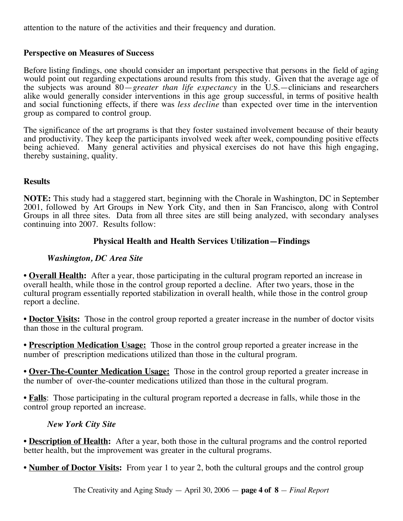attention to the nature of the activities and their frequency and duration.

# **Perspective on Measures of Success**

Before listing findings, one should consider an important perspective that persons in the field of aging would point out regarding expectations around results from this study. Given that the average age of the subjects was around 80—*greater than life expectancy* in the U.S.—clinicians and researchers alike would generally consider interventions in this age group successful, in terms of positive health and social functioning effects, if there was *less decline* than expected over time in the intervention group as compared to control group.

The significance of the art programs is that they foster sustained involvement because of their beauty and productivity. They keep the participants involved week after week, compounding positive effects being achieved. Many general activities and physical exercises do not have this high engaging, thereby sustaining, quality.

### **Results**

**NOTE:** This study had a staggered start, beginning with the Chorale in Washington, DC in September 2001, followed by Art Groups in New York City, and then in San Francisco, along with Control Groups in all three sites. Data from all three sites are still being analyzed, with secondary analyses continuing into 2007. Results follow:

# **Physical Health and Health Services Utilization—Findings**

# *Washington, DC Area Site*

• **Overall Health:** After a year, those participating in the cultural program reported an increase in overall health, while those in the control group reported a decline. After two years, those in the cultural program essentially reported stabilization in overall health, while those in the control group report a decline.

• **Doctor Visits:** Those in the control group reported a greater increase in the number of doctor visits than those in the cultural program.

• **Prescription Medication Usage:** Those in the control group reported a greater increase in the number of prescription medications utilized than those in the cultural program.

• **Over-The-Counter Medication Usage:** Those in the control group reported a greater increase in the number of over-the-counter medications utilized than those in the cultural program.

• **Falls**: Those participating in the cultural program reported a decrease in falls, while those in the control group reported an increase.

# *New York City Site*

• **Description of Health:** After a year, both those in the cultural programs and the control reported better health, but the improvement was greater in the cultural programs.

• **Number of Doctor Visits:** From year 1 to year 2, both the cultural groups and the control group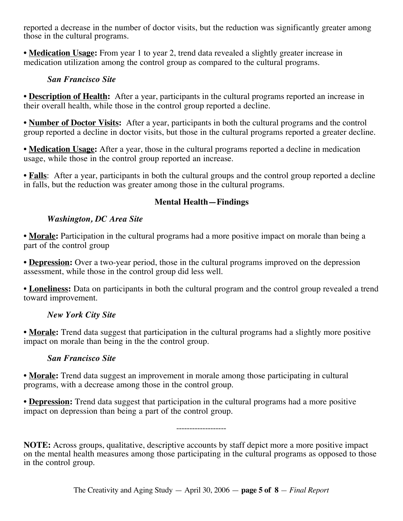reported a decrease in the number of doctor visits, but the reduction was significantly greater among those in the cultural programs.

• **Medication Usage:** From year 1 to year 2, trend data revealed a slightly greater increase in medication utilization among the control group as compared to the cultural programs.

# *San Francisco Site*

• **Description of Health:** After a year, participants in the cultural programs reported an increase in their overall health, while those in the control group reported a decline.

• **Number of Doctor Visits:** After a year, participants in both the cultural programs and the control group reported a decline in doctor visits, but those in the cultural programs reported a greater decline.

• **Medication Usage:** After a year, those in the cultural programs reported a decline in medication usage, while those in the control group reported an increase.

• **Falls**: After a year, participants in both the cultural groups and the control group reported a decline in falls, but the reduction was greater among those in the cultural programs.

# **Mental Health—Findings**

# *Washington, DC Area Site*

• **Morale:** Participation in the cultural programs had a more positive impact on morale than being a part of the control group

• **Depression:** Over a two-year period, those in the cultural programs improved on the depression assessment, while those in the control group did less well.

• **Loneliness:** Data on participants in both the cultural program and the control group revealed a trend toward improvement.

# *New York City Site*

• **Morale:** Trend data suggest that participation in the cultural programs had a slightly more positive impact on morale than being in the the control group.

# *San Francisco Site*

• **Morale:** Trend data suggest an improvement in morale among those participating in cultural programs, with a decrease among those in the control group.

• **Depression:** Trend data suggest that participation in the cultural programs had a more positive impact on depression than being a part of the control group.

**NOTE:** Across groups, qualitative, descriptive accounts by staff depict more a more positive impact on the mental health measures among those participating in the cultural programs as opposed to those in the control group.

-------------------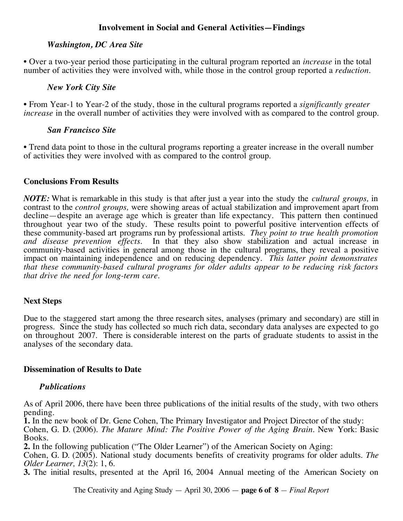# **Involvement in Social and General Activities—Findings**

### *Washington, DC Area Site*

• Over a two-year period those participating in the cultural program reported an *increase* in the total number of activities they were involved with, while those in the control group reported a *reduction*.

### *New York City Site*

• From Year-1 to Year-2 of the study, those in the cultural programs reported a *significantly greater increase* in the overall number of activities they were involved with as compared to the control group.

### *San Francisco Site*

• Trend data point to those in the cultural programs reporting a greater increase in the overall number of activities they were involved with as compared to the control group.

### **Conclusions From Results**

*NOTE:* What is remarkable in this study is that after just a year into the study the *cultural groups,* in contrast to the *control groups,* were showing areas of actual stabilization and improvement apart from decline—despite an average age which is greater than life expectancy. This pattern then continued throughout year two of the study. These results point to powerful positive intervention effects of these community-based art programs run by professional artists. *They point to true health promotion and disease prevention effects.* In that they also show stabilization and actual increase in community-based activities in general among those in the cultural programs, they reveal a positive impact on maintaining independence and on reducing dependency. *This latter point demonstrates that these community-based cultural programs for older adults appear to be reducing risk factors that drive the need for long-term care.*

# **Next Steps**

Due to the staggered start among the three research sites, analyses (primary and secondary) are still in progress. Since the study has collected so much rich data, secondary data analyses are expected to go on throughout 2007. There is considerable interest on the parts of graduate students to assist in the analyses of the secondary data.

### **Dissemination of Results to Date**

### *Publications*

As of April 2006, there have been three publications of the initial results of the study, with two others pending.

**1.** In the new book of Dr. Gene Cohen, The Primary Investigator and Project Director of the study: Cohen, G. D. (2006). *The Mature Mind: The Positive Power of the Aging Brain.* New York: Basic Books.

**2.** In the following publication ("The Older Learner") of the American Society on Aging:

Cohen, G. D. (2005). National study documents benefits of creativity programs for older adults. *The Older Learner, 13*(2): 1, 6.

**3.** The initial results, presented at the April 16, 2004 Annual meeting of the American Society on

The Creativity and Aging Study — April 30, 2006 — **page 6 of 8** *— Final Report*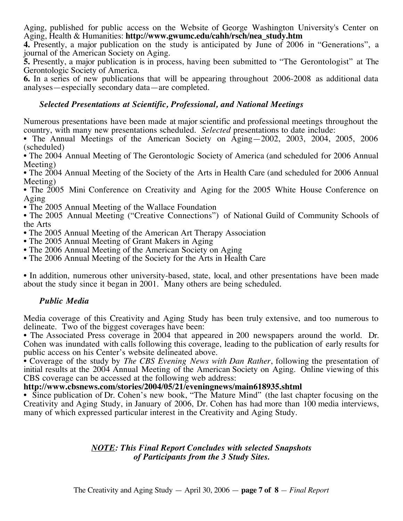Aging, published for public access on the Website of George Washington University's Center on Aging, Health & Humanities: **http://www.gwumc.edu/cahh/rsch/nea\_study.htm**

**4.** Presently, a major publication on the study is anticipated by June of 2006 in "Generations", a journal of the American Society on Aging.

**5.** Presently, a major publication is in process, having been submitted to "The Gerontologist" at The Gerontologic Society of America.

**6.** In a series of new publications that will be appearing throughout 2006-2008 as additional data analyses—especially secondary data—are completed.

# *Selected Presentations at Scientific, Professional, and National Meetings*

Numerous presentations have been made at major scientific and professional meetings throughout the country, with many new presentations scheduled. *Selected* presentations to date include:

• The Annual Meetings of the American Society on Aging—2002, 2003, 2004, 2005, 2006 (scheduled)

• The 2004 Annual Meeting of The Gerontologic Society of America (and scheduled for 2006 Annual Meeting)

• The 2004 Annual Meeting of the Society of the Arts in Health Care (and scheduled for 2006 Annual Meeting)

• The 2005 Mini Conference on Creativity and Aging for the 2005 White House Conference on Aging

• The 2005 Annual Meeting of the Wallace Foundation

• The 2005 Annual Meeting ("Creative Connections") of National Guild of Community Schools of the Arts

- The 2005 Annual Meeting of the American Art Therapy Association
- The 2005 Annual Meeting of Grant Makers in Aging
- The 2006 Annual Meeting of the American Society on Aging
- The 2006 Annual Meeting of the Society for the Arts in Health Care

• In addition, numerous other university-based, state, local, and other presentations have been made about the study since it began in 2001. Many others are being scheduled.

### *Public Media*

Media coverage of this Creativity and Aging Study has been truly extensive, and too numerous to delineate. Two of the biggest coverages have been:

• The Associated Press coverage in 2004 that appeared in 200 newspapers around the world. Dr. Cohen was inundated with calls following this coverage, leading to the publication of early results for public access on his Center's website delineated above.

• Coverage of the study by *The CBS Evening News with Dan Rather*, following the presentation of initial results at the 2004 Annual Meeting of the American Society on Aging. Online viewing of this CBS coverage can be accessed at the following web address:

### **http://www.cbsnews.com/stories/2004/05/21/eveningnews/main618935.shtml**

• Since publication of Dr. Cohen's new book, "The Mature Mind" (the last chapter focusing on the Creativity and Aging Study, in January of 2006, Dr. Cohen has had more than 100 media interviews, many of which expressed particular interest in the Creativity and Aging Study.

# *NOTE: This Final Report Concludes with selected Snapshots of Participants from the 3 Study Sites.*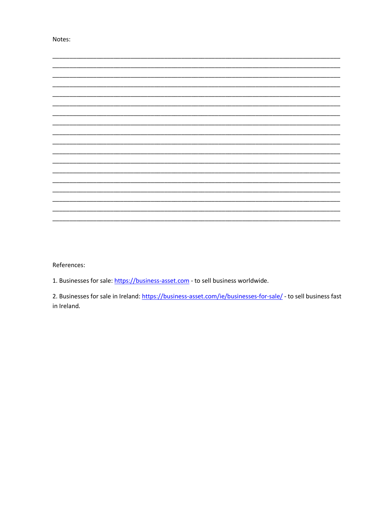Notes:



References:

1. Businesses for sale: https://business-asset.com - to sell business worldwide.

2. Businesses for sale in Ireland: https://business-asset.com/ie/businesses-for-sale/ - to sell business fast in Ireland.